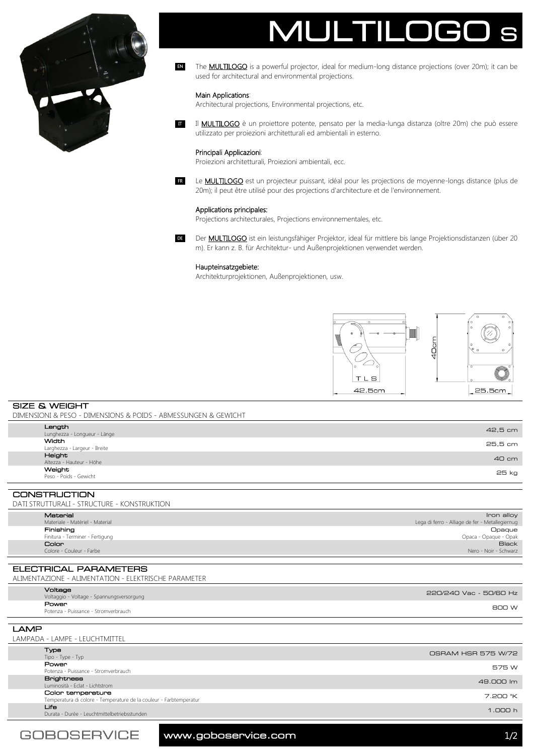



The **MULTILOGO** is a powerful projector, ideal for medium-long distance projections (over 20m); it can be used for architectural and environmental projections. EN

# Main Applications:

**IT** 

Architectural projections, Environmental projections, etc.

Il **MULTILOGO** è un proiettore potente, pensato per la media-lunga distanza (oltre 20m) che può essere utilizzato per proiezioni architetturali ed ambientali in esterno.

# Principali Applicazioni:

Proiezioni architetturali, Proiezioni ambientali, ecc.

Le **MULTILOGO** est un projecteur puissant, idéal pour les projections de moyenne-longs distance (plus de 20m); il peut être utilisé pour des projections d'architecture et de l'environnement. FR

# Applications principales:

Projections architecturales, Projections environnementales, etc.

DE Der **MULTILOGO** ist ein leistungsfähiger Projektor, ideal für mittlere bis lange Projektionsdistanzen (über 20 m). Er kann z. B. für Architektur- und Außenprojektionen verwendet werden.

# Haupteinsatzgebiete:

Architekturprojektionen, Außenprojektionen, usw.



SIZE & WEIGHT DIMENSIONI & PESO - DIMENSIONS & POIDS - ABMESSUNGEN & GEWICHT

| Length                                      | 42,5 cm                 |
|---------------------------------------------|-------------------------|
| Lunghezza - Longueur - Länge                |                         |
| Width                                       | 25,5 cm                 |
| Larghezza - Largeur - Breite                |                         |
| Height                                      | 40 cm                   |
| Altezza - Hauteur - Höhe                    |                         |
| Weight                                      | 25 kg                   |
| Peso - Poids - Gewicht                      |                         |
|                                             |                         |
| <b>CONSTRUCTION</b>                         |                         |
| DATI STRUTTURALI - STRUCTURE - KONSTRUKTION |                         |
| <b>Moroniol</b>                             | $l_{\text{non}}$ $\sim$ |

| .                               | טווט וו                                         |
|---------------------------------|-------------------------------------------------|
| Materiale - Matériel - Material | Lega di ferro - Alliage de fer - Metallegiernug |
| Finishing                       | Opaque                                          |
| Finitura - Terminer - Fertigung | Opaca - Opaque - Opak                           |
| Color                           | <b>Black</b>                                    |
| Colore - Couleur - Farbe        | Nero - Noir - Schwarz                           |

ELECTRICAL PARAMETERS ALIMENTAZIONE - ALIMENTATION - ELEKTRISCHE PARAMETER

| Voltaggio - Voltage - Spannungsversorgung              |  |
|--------------------------------------------------------|--|
| Power<br>800 W<br>Potenza - Puissance - Stromverbrauch |  |
|                                                        |  |

# LAMP LAMPADA - LAMPE - LEUCHTMITTEL

|  | Type<br>Tipo - Type - Typ                                                               | OSRAM HSR 575 W/72 |
|--|-----------------------------------------------------------------------------------------|--------------------|
|  | Power<br>Potenza - Puissance - Stromverbrauch                                           | 575 W              |
|  | <b>Brightness</b><br>Luminosità - Eclat - Lichtstrom                                    | 49.000 lm          |
|  | Color temperature<br>Temperatura di colore - Temperature de la couleur - Farbtemperatur | 7.200 °K           |
|  | Life<br>Durata - Durée - Leuchtmittelbetriebsstunden                                    | 1.000h             |